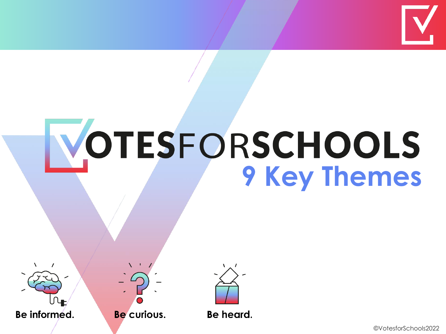

# **VOTESFORSCHOOLS**



Be curious.

Be heard.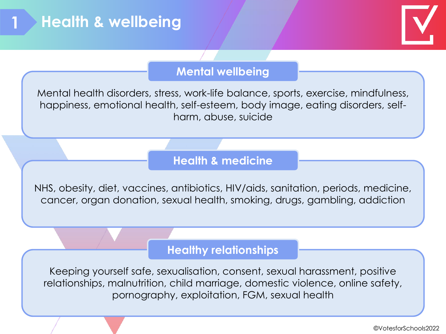

#### **Mental wellbeing**

Mental health disorders, stress, work-life balance, sports, exercise, mindfulness, happiness, emotional health, self-esteem, body image, eating disorders, selfharm, abuse, suicide

#### **Health & medicine**

NHS, obesity, diet, vaccines, antibiotics, HIV/aids, sanitation, periods, medicine, cancer, organ donation, sexual health, smoking, drugs, gambling, addiction

#### **Healthy relationships**

Keeping yourself safe, sexualisation, consent, sexual harassment, positive relationships, malnutrition, child marriage, domestic violence, online safety, pornography, exploitation, FGM, sexual health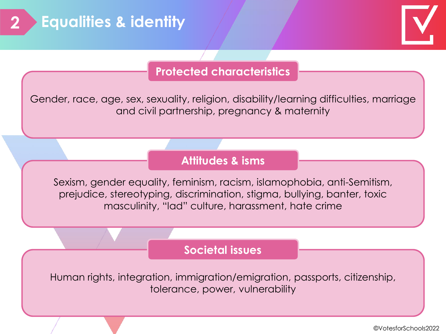

# **Protected characteristics**

Gender, race, age, sex, sexuality, religion, disability/learning difficulties, marriage and civil partnership, pregnancy & maternity

### **Attitudes & isms**

Sexism, gender equality, feminism, racism, islamophobia, anti-Semitism, prejudice, stereotyping, discrimination, stigma, bullying, banter, toxic masculinity, "lad" culture, harassment, hate crime

#### **Societal issues**

Human rights, integration, immigration/emigration, passports, citizenship, tolerance, power, vulnerability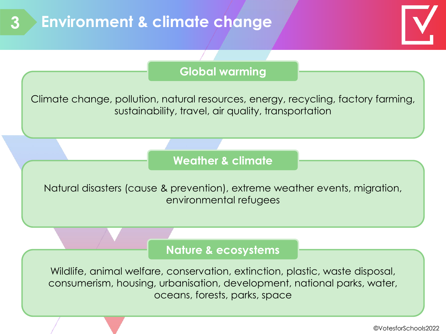



#### **Global warming**

Climate change, pollution, natural resources, energy, recycling, factory farming, sustainability, travel, air quality, transportation

#### **Weather & climate**

Natural disasters (cause & prevention), extreme weather events, migration, environmental refugees

#### **Nature & ecosystems**

Wildlife, animal welfare, conservation, extinction, plastic, waste disposal, consumerism, housing, urbanisation, development, national parks, water, oceans, forests, parks, space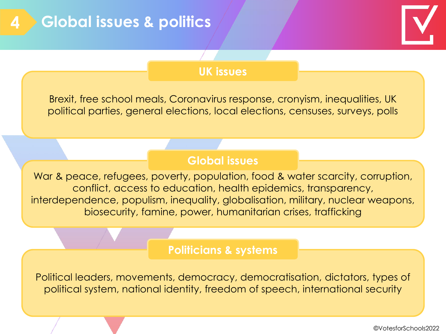

#### **UK issues**

Brexit, free school meals, Coronavirus response, cronyism, inequalities, UK political parties, general elections, local elections, censuses, surveys, polls

#### **Global issues**

War & peace, refugees, poverty, population, food & water scarcity, corruption, conflict, access to education, health epidemics, transparency, interdependence, populism, inequality, globalisation, military, nuclear weapons, biosecurity, famine, power, humanitarian crises, trafficking

#### **Politicians & systems**

Political leaders, movements, democracy, democratisation, dictators, types of political system, national identity, freedom of speech, international security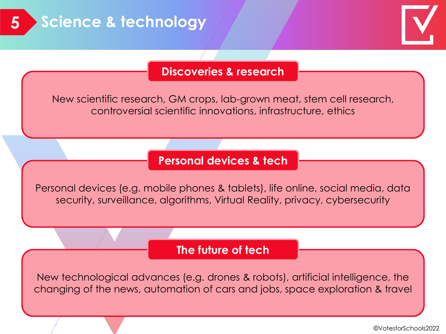

#### **Discoveries & research**

New scientific research, GM crops, lab-grown meat, stem cell research, controversial scientific innovations, infrastructure, ethics

#### **Personal devices & tech**

Personal devices (e.g. mobile phones & tablets), life online, social media, data security, surveillance, algorithms, Virtual Reality, privacy, cybersecurity

#### **The future of tech**

New technological advances (e.g. drones & robots), artificial intelligence, the changing of the news, automation of cars and jobs, space exploration & travel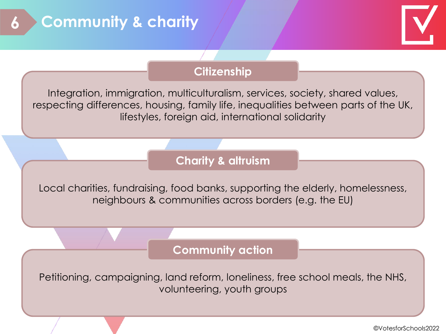



### **Citizenship**

Integration, immigration, multiculturalism, services, society, shared values, respecting differences, housing, family life, inequalities between parts of the UK, lifestyles, foreign aid, international solidarity

## **Charity & altruism**

Local charities, fundraising, food banks, supporting the elderly, homelessness, neighbours & communities across borders (e.g. the EU)

#### **Community action**

Petitioning, campaigning, land reform, loneliness, free school meals, the NHS, volunteering, youth groups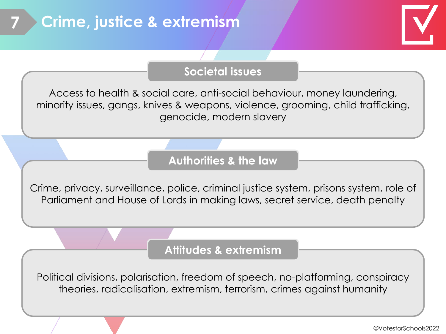# **7 Crime, justice & extremism**



#### **Societal issues**

Access to health & social care, anti-social behaviour, money laundering, minority issues, gangs, knives & weapons, violence, grooming, child trafficking, genocide, modern slavery

### **Authorities & the law**

Crime, privacy, surveillance, police, criminal justice system, prisons system, role of Parliament and House of Lords in making laws, secret service, death penalty

#### **Attitudes & extremism**

Political divisions, polarisation, freedom of speech, no-platforming, conspiracy theories, radicalisation, extremism, terrorism, crimes against humanity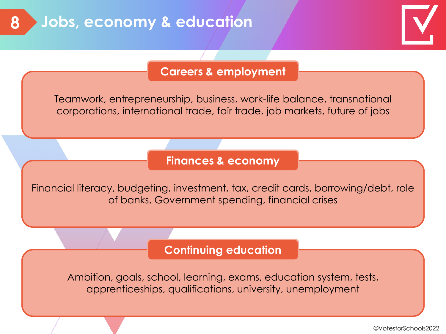

#### **Careers & employment**

Teamwork, entrepreneurship, business, work-life balance, transnational corporations, international trade, fair trade, job markets, future of jobs

#### **Finances & economy**

Financial literacy, budgeting, investment, tax, credit cards, borrowing/debt, role of banks, Government spending, financial crises

#### **Continuing education**

Ambition, goals, school, learning, exams, education system, tests, apprenticeships, qualifications, university, unemployment